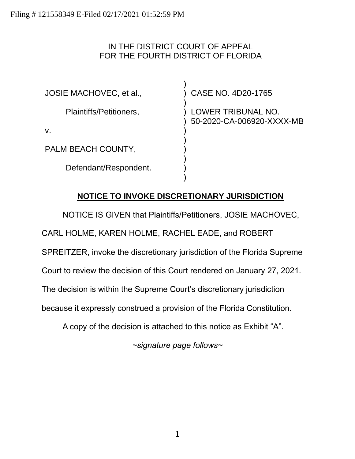### IN THE DISTRICT COURT OF APPEAL FOR THE FOURTH DISTRICT OF FLORIDA

) ) ) ) ) ) ) ) ) ) )

JOSIE MACHOVEC, et al.,

Plaintiffs/Petitioners,

v.

PALM BEACH COUNTY,

Defendant/Respondent.

CASE NO. 4D20-1765

LOWER TRIBUNAL NO. 50-2020-CA-006920-XXXX-MB

# **NOTICE TO INVOKE DISCRETIONARY JURISDICTION**

NOTICE IS GIVEN that Plaintiffs/Petitioners, JOSIE MACHOVEC,

CARL HOLME, KAREN HOLME, RACHEL EADE, and ROBERT

SPREITZER, invoke the discretionary jurisdiction of the Florida Supreme

Court to review the decision of this Court rendered on January 27, 2021.

The decision is within the Supreme Court's discretionary jurisdiction

because it expressly construed a provision of the Florida Constitution.

A copy of the decision is attached to this notice as Exhibit "A".

*~signature page follows~*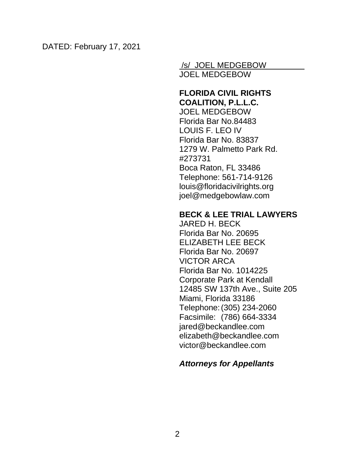/s/ JOEL MEDGEBOW JOEL MEDGEBOW

### **FLORIDA CIVIL RIGHTS COALITION, P.L.L.C.**

JOEL MEDGEBOW Florida Bar No.84483 LOUIS F. LEO IV Florida Bar No. 83837 1279 W. Palmetto Park Rd. #273731 Boca Raton, FL 33486 Telephone: 561-714-9126 louis@floridacivilrights.org joel@medgebowlaw.com

### **BECK & LEE TRIAL LAWYERS**

JARED H. BECK Florida Bar No. 20695 ELIZABETH LEE BECK Florida Bar No. 20697 VICTOR ARCA Florida Bar No. 1014225 Corporate Park at Kendall 12485 SW 137th Ave., Suite 205 Miami, Florida 33186 Telephone:(305) 234-2060 Facsimile: (786) 664-3334 jared@beckandlee.com elizabeth@beckandlee.com victor@beckandlee.com

# *Attorneys for Appellants*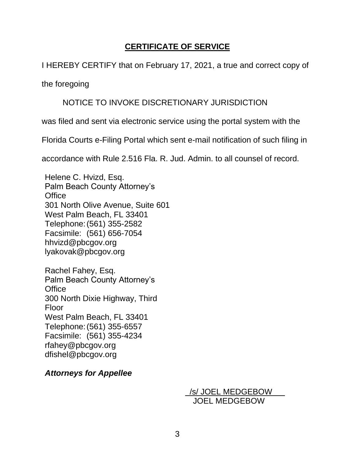# **CERTIFICATE OF SERVICE**

### I HEREBY CERTIFY that on February 17, 2021, a true and correct copy of

the foregoing

### NOTICE TO INVOKE DISCRETIONARY JURISDICTION

was filed and sent via electronic service using the portal system with the

Florida Courts e-Filing Portal which sent e-mail notification of such filing in

accordance with Rule 2.516 Fla. R. Jud. Admin. to all counsel of record.

Helene C. Hvizd, Esq. Palm Beach County Attorney's **Office** 301 North Olive Avenue, Suite 601 West Palm Beach, FL 33401 Telephone:(561) 355-2582 Facsimile: (561) 656-7054 hhvizd@pbcgov.org lyakovak@pbcgov.org

Rachel Fahey, Esq. Palm Beach County Attorney's **Office** 300 North Dixie Highway, Third Floor West Palm Beach, FL 33401 Telephone:(561) 355-6557 Facsimile: (561) 355-4234 rfahey@pbcgov.org dfishel@pbcgov.org

*Attorneys for Appellee*

 /s/ JOEL MEDGEBOW JOEL MEDGEBOW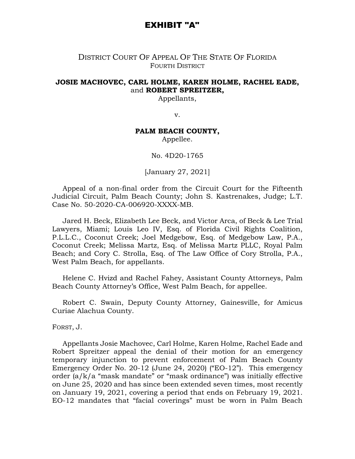### EXHIBIT "A"

### DISTRICT COURT OF APPEAL OF THE STATE OF FLORIDA FOURTH DISTRICT

### **JOSIE MACHOVEC, CARL HOLME, KAREN HOLME, RACHEL EADE,**  and **ROBERT SPREITZER,**

Appellants,

v.

#### **PALM BEACH COUNTY,**

Appellee.

No. 4D20-1765

[January 27, 2021]

Appeal of a non-final order from the Circuit Court for the Fifteenth Judicial Circuit, Palm Beach County; John S. Kastrenakes, Judge; L.T. Case No. 50-2020-CA-006920-XXXX-MB.

Jared H. Beck, Elizabeth Lee Beck, and Victor Arca, of Beck & Lee Trial Lawyers, Miami; Louis Leo IV, Esq. of Florida Civil Rights Coalition, P.L.L.C., Coconut Creek; Joel Medgebow, Esq. of Medgebow Law, P.A., Coconut Creek; Melissa Martz, Esq. of Melissa Martz PLLC, Royal Palm Beach; and Cory C. Strolla, Esq. of The Law Office of Cory Strolla, P.A., West Palm Beach, for appellants.

Helene C. Hvizd and Rachel Fahey, Assistant County Attorneys, Palm Beach County Attorney's Office, West Palm Beach, for appellee.

Robert C. Swain, Deputy County Attorney, Gainesville, for Amicus Curiae Alachua County.

FORST, J.

Appellants Josie Machovec, Carl Holme, Karen Holme, Rachel Eade and Robert Spreitzer appeal the denial of their motion for an emergency temporary injunction to prevent enforcement of Palm Beach County Emergency Order No. 20-12 (June 24, 2020) ("EO-12"). This emergency order (a/k/a "mask mandate" or "mask ordinance") was initially effective on June 25, 2020 and has since been extended seven times, most recently on January 19, 2021, covering a period that ends on February 19, 2021. EO-12 mandates that "facial coverings" must be worn in Palm Beach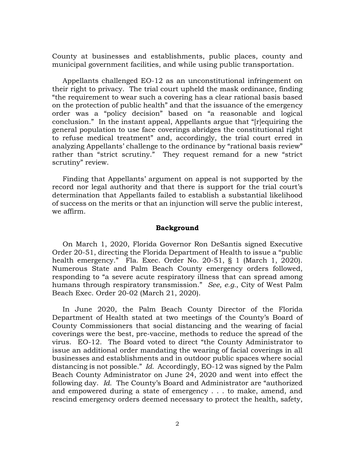County at businesses and establishments, public places, county and municipal government facilities, and while using public transportation.

Appellants challenged EO-12 as an unconstitutional infringement on their right to privacy. The trial court upheld the mask ordinance, finding "the requirement to wear such a covering has a clear rational basis based on the protection of public health" and that the issuance of the emergency order was a "policy decision" based on "a reasonable and logical conclusion." In the instant appeal, Appellants argue that "[r]equiring the general population to use face coverings abridges the constitutional right to refuse medical treatment" and, accordingly, the trial court erred in analyzing Appellants' challenge to the ordinance by "rational basis review" rather than "strict scrutiny." They request remand for a new "strict scrutiny" review.

Finding that Appellants' argument on appeal is not supported by the record nor legal authority and that there is support for the trial court's determination that Appellants failed to establish a substantial likelihood of success on the merits or that an injunction will serve the public interest, we affirm.

#### **Background**

On March 1, 2020, Florida Governor Ron DeSantis signed Executive Order 20-51, directing the Florida Department of Health to issue a "public health emergency." Fla. Exec. Order No. 20-51, § 1 (March 1, 2020). Numerous State and Palm Beach County emergency orders followed, responding to "a severe acute respiratory illness that can spread among humans through respiratory transmission." *See, e.g.*, City of West Palm Beach Exec. Order 20-02 (March 21, 2020).

In June 2020, the Palm Beach County Director of the Florida Department of Health stated at two meetings of the County's Board of County Commissioners that social distancing and the wearing of facial coverings were the best, pre-vaccine, methods to reduce the spread of the virus. EO-12. The Board voted to direct "the County Administrator to issue an additional order mandating the wearing of facial coverings in all businesses and establishments and in outdoor public spaces where social distancing is not possible." *Id.* Accordingly, EO-12 was signed by the Palm Beach County Administrator on June 24, 2020 and went into effect the following day. *Id.* The County's Board and Administrator are "authorized and empowered during a state of emergency . . . to make, amend, and rescind emergency orders deemed necessary to protect the health, safety,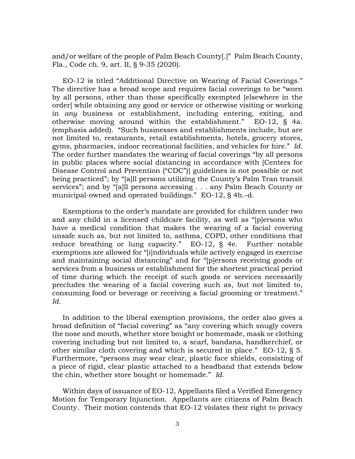and/or welfare of the people of Palm Beach County[.]" Palm Beach County, Fla., Code ch. 9, art. II, § 9-35 (2020).

EO-12 is titled "Additional Directive on Wearing of Facial Coverings." The directive has a broad scope and requires facial coverings to be "worn by all persons, other than those specifically exempted [elsewhere in the order] while obtaining any good or service or otherwise visiting or working in *any* business or establishment, including entering, exiting, and otherwise moving around within the establishment." EO-12, § 4a. (emphasis added). "Such businesses and establishments include, but are not limited to, restaurants, retail establishments, hotels, grocery stores, gyms, pharmacies, indoor recreational facilities, and vehicles for hire." *Id.* The order further mandates the wearing of facial coverings "by all persons in public places where social distancing in accordance with [Centers for Disease Control and Prevention ("CDC")] guidelines is not possible or not being practiced"; by "[a]ll persons utilizing the County's Palm Tran transit services"; and by "[a]ll persons accessing . . . any Palm Beach County or municipal-owned and operated buildings." EO-12, § 4b.–d.

Exemptions to the order's mandate are provided for children under two and any child in a licensed childcare facility, as well as "[p]ersons who have a medical condition that makes the wearing of a facial covering unsafe such as, but not limited to, asthma, COPD, other conditions that reduce breathing or lung capacity." EO-12, § 4e. Further notable exemptions are allowed for "[i]ndividuals while actively engaged in exercise and maintaining social distancing" and for "[p]ersons receiving goods or services from a business or establishment for the shortest practical period of time during which the receipt of such goods or services necessarily precludes the wearing of a facial covering such as, but not limited to, consuming food or beverage or receiving a facial grooming or treatment." *Id.*

In addition to the liberal exemption provisions, the order also gives a broad definition of "facial covering" as "any covering which snugly covers the nose and mouth, whether store bought or homemade, mask or clothing covering including but not limited to, a scarf, bandana, handkerchief, or other similar cloth covering and which is secured in place." EO-12, § 5. Furthermore, "persons may wear clear, plastic face shields, consisting of a piece of rigid, clear plastic attached to a headband that extends below the chin, whether store bought or homemade." *Id.*

Within days of issuance of EO-12, Appellants filed a Verified Emergency Motion for Temporary Injunction. Appellants are citizens of Palm Beach County. Their motion contends that EO-12 violates their right to privacy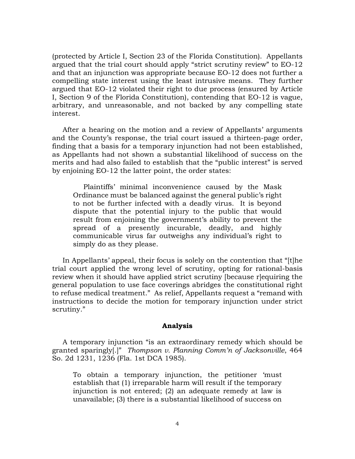(protected by Article I, Section 23 of the Florida Constitution). Appellants argued that the trial court should apply "strict scrutiny review" to EO-12 and that an injunction was appropriate because EO-12 does not further a compelling state interest using the least intrusive means. They further argued that EO-12 violated their right to due process (ensured by Article I, Section 9 of the Florida Constitution), contending that EO-12 is vague, arbitrary, and unreasonable, and not backed by any compelling state interest.

After a hearing on the motion and a review of Appellants' arguments and the County's response, the trial court issued a thirteen-page order, finding that a basis for a temporary injunction had not been established, as Appellants had not shown a substantial likelihood of success on the merits and had also failed to establish that the "public interest" is served by enjoining EO-12 the latter point, the order states:

Plaintiffs' minimal inconvenience caused by the Mask Ordinance must be balanced against the general public's right to not be further infected with a deadly virus. It is beyond dispute that the potential injury to the public that would result from enjoining the government's ability to prevent the spread of a presently incurable, deadly, and highly communicable virus far outweighs any individual's right to simply do as they please.

In Appellants' appeal, their focus is solely on the contention that "[t]he trial court applied the wrong level of scrutiny, opting for rational-basis review when it should have applied strict scrutiny [because r]equiring the general population to use face coverings abridges the constitutional right to refuse medical treatment." As relief, Appellants request a "remand with instructions to decide the motion for temporary injunction under strict scrutiny."

#### **Analysis**

A temporary injunction "is an extraordinary remedy which should be granted sparingly[.]" *Thompson v. Planning Comm'n of Jacksonville*, 464 So. 2d 1231, 1236 (Fla. 1st DCA 1985).

To obtain a temporary injunction, the petitioner 'must establish that (1) irreparable harm will result if the temporary injunction is not entered; (2) an adequate remedy at law is unavailable; (3) there is a substantial likelihood of success on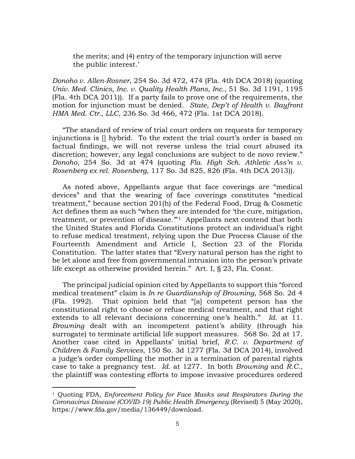the merits; and (4) entry of the temporary injunction will serve the public interest.'

*Donoho v. Allen-Rosner*, 254 So. 3d 472, 474 (Fla. 4th DCA 2018) (quoting *Univ. Med. Clinics, Inc. v. Quality Health Plans, Inc.*, 51 So. 3d 1191, 1195 (Fla. 4th DCA 2011)). If a party fails to prove one of the requirements, the motion for injunction must be denied. *State, Dep't of Health v. Bayfront HMA Med. Ctr., LLC*, 236 So. 3d 466, 472 (Fla. 1st DCA 2018).

"The standard of review of trial court orders on requests for temporary injunctions is [] hybrid. To the extent the trial court's order is based on factual findings, we will not reverse unless the trial court abused its discretion; however, any legal conclusions are subject to de novo review." *Donoho*, 254 So. 3d at 474 (quoting *Fla. High Sch. Athletic Ass'n v. Rosenberg ex rel. Rosenberg*, 117 So. 3d 825, 826 (Fla. 4th DCA 2013)).

As noted above, Appellants argue that face coverings are "medical devices" and that the wearing of face coverings constitutes "medical treatment," because section 201(h) of the Federal Food, Drug & Cosmetic Act defines them as such "when they are intended for 'the cure, mitigation, treatment, or prevention of disease."<sup>[1](#page-7-0)</sup> Appellants next contend that both the United States and Florida Constitutions protect an individual's right to refuse medical treatment, relying upon the Due Process Clause of the Fourteenth Amendment and Article I, Section 23 of the Florida Constitution. The latter states that "Every natural person has the right to be let alone and free from governmental intrusion into the person's private life except as otherwise provided herein." Art. I, § 23, Fla. Const.

The principal judicial opinion cited by Appellants to support this "forced medical treatment" claim is *In re Guardianship of Browning*, 568 So. 2d 4 (Fla. 1992). That opinion held that "[a] competent person has the constitutional right to choose or refuse medical treatment, and that right extends to all relevant decisions concerning one's health." *Id.* at 11. *Browning* dealt with an incompetent patient's ability (through his surrogate) to terminate artificial life support measures. 568 So. 2d at 17. Another case cited in Appellants' initial brief, *R.C. v. Department of Children & Family Services*, 150 So. 3d 1277 (Fla. 3d DCA 2014), involved a judge's order compelling the mother in a termination of parental rights case to take a pregnancy test. *Id.* at 1277. In both *Browning* and *R.C.*, the plaintiff was contesting efforts to impose invasive procedures ordered

<span id="page-7-0"></span><sup>1</sup> Quoting FDA*, Enforcement Policy for Face Masks and Respirators During the Coronavirus Disease (COVID-19) Public Health Emergency* (Revised) 5 (May 2020), https://www.fda.gov/media/136449/download.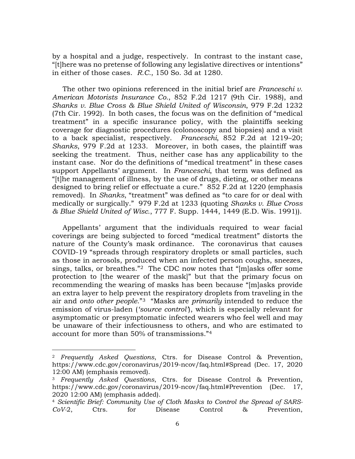by a hospital and a judge, respectively. In contrast to the instant case, "[t]here was no pretense of following any legislative directives or intentions" in either of those cases. *R.C.*, 150 So. 3d at 1280.

The other two opinions referenced in the initial brief are *Franceschi v. American Motorists Insurance Co.*, 852 F.2d 1217 (9th Cir. 1988), and *Shanks v. Blue Cross & Blue Shield United of Wisconsin*, 979 F.2d 1232 (7th Cir. 1992). In both cases, the focus was on the definition of "medical treatment" in a specific insurance policy, with the plaintiffs seeking coverage for diagnostic procedures (colonoscopy and biopsies) and a visit to a back specialist, respectively. *Franceschi*, 852 F.2d at 1219–20; *Shanks*, 979 F.2d at 1233. Moreover, in both cases, the plaintiff was seeking the treatment. Thus, neither case has any applicability to the instant case. Nor do the definitions of "medical treatment" in these cases support Appellants' argument. In *Franceschi*, that term was defined as "[t]he management of illness, by the use of drugs, dieting, or other means designed to bring relief or effectuate a cure." 852 F.2d at 1220 (emphasis removed). In *Shanks*, "treatment" was defined as "to care for or deal with medically or surgically." 979 F.2d at 1233 (quoting *Shanks v. Blue Cross & Blue Shield United of Wisc.*, 777 F. Supp. 1444, 1449 (E.D. Wis. 1991)).

Appellants' argument that the individuals required to wear facial coverings are being subjected to forced "medical treatment" distorts the nature of the County's mask ordinance. The coronavirus that causes COVID-19 "spreads through respiratory droplets or small particles, such as those in aerosols, produced when an infected person coughs, sneezes, sings, talks, or breathes."[2](#page-8-0) The CDC now notes that "[m]asks offer some protection to [the wearer of the mask]" but that the primary focus on recommending the wearing of masks has been because "[m]asks provide an extra layer to help prevent the respiratory droplets from traveling in the air and *onto other people*."[3](#page-8-1) "Masks are *primarily* intended to reduce the emission of virus-laden (*'source control'*), which is especially relevant for asymptomatic or presymptomatic infected wearers who feel well and may be unaware of their infectiousness to others, and who are estimated to account for more than 50% of transmissions."[4](#page-8-2) 

<span id="page-8-0"></span><sup>2</sup> *Frequently Asked Questions*, Ctrs. for Disease Control & Prevention, https://www.cdc.gov/coronavirus/2019-ncov/faq.html#Spread (Dec. 17, 2020 12:00 AM) (emphasis removed).

<span id="page-8-1"></span><sup>3</sup> *Frequently Asked Questions*, Ctrs. for Disease Control & Prevention, https://www.cdc.gov/coronavirus/2019-ncov/faq.html#Prevention (Dec. 17, 2020 12:00 AM) (emphasis added).

<span id="page-8-2"></span><sup>4</sup> *Scientific Brief: Community Use of Cloth Masks to Control the Spread of SARS-CoV-*2, Ctrs. for Disease Control & Prevention,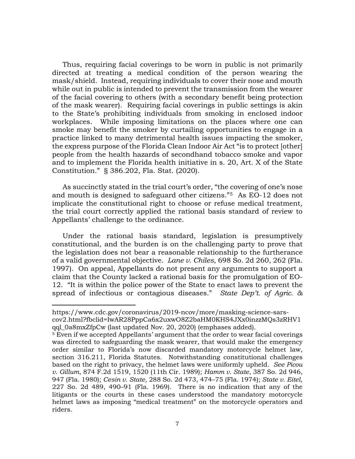Thus, requiring facial coverings to be worn in public is not primarily directed at treating a medical condition of the person wearing the mask/shield. Instead, requiring individuals to cover their nose and mouth while out in public is intended to prevent the transmission from the wearer of the facial covering to others (with a secondary benefit being protection of the mask wearer). Requiring facial coverings in public settings is akin to the State's prohibiting individuals from smoking in enclosed indoor workplaces. While imposing limitations on the places where one can smoke may benefit the smoker by curtailing opportunities to engage in a practice linked to many detrimental health issues impacting the smoker, the express purpose of the Florida Clean Indoor Air Act "is to protect [other] people from the health hazards of secondhand tobacco smoke and vapor and to implement the Florida health initiative in s. 20, Art. X of the State Constitution." § 386.202, Fla. Stat. (2020).

As succinctly stated in the trial court's order, "the covering of one's nose and mouth is designed to safeguard other citizens."[5](#page-9-0) As EO-12 does not implicate the constitutional right to choose or refuse medical treatment, the trial court correctly applied the rational basis standard of review to Appellants' challenge to the ordinance.

Under the rational basis standard, legislation is presumptively constitutional, and the burden is on the challenging party to prove that the legislation does not bear a reasonable relationship to the furtherance of a valid governmental objective. *Lane v. Chiles*, 698 So. 2d 260, 262 (Fla. 1997). On appeal, Appellants do not present any arguments to support a claim that the County lacked a rational basis for the promulgation of EO-12. "It is within the police power of the State to enact laws to prevent the spread of infectious or contagious diseases." *State Dep't. of Agric. &* 

https://www.cdc.gov/coronavirus/2019-ncov/more/masking-science-sarscov2.html?fbclid=IwAR28PppCa6x2uxwO8Z2baHM0KHS4JXx0inzzMQs3zRHV1 qql\_0a8mxZfpCw (last updated Nov. 20, 2020) (emphases added).

<span id="page-9-0"></span><sup>5</sup> Even if we accepted Appellants' argument that the order to wear facial coverings was directed to safeguarding the mask wearer, that would make the emergency order similar to Florida's now discarded mandatory motorcycle helmet law, section 316.211, Florida Statutes. Notwithstanding constitutional challenges based on the right to privacy, the helmet laws were uniformly upheld. *See Picou v. Gillum*, 874 F.2d 1519, 1520 (11th Cir. 1989); *Hamm v. State*, 387 So. 2d 946, 947 (Fla. 1980); *Cesin v. State*, 288 So. 2d 473, 474–75 (Fla. 1974); *State v. Eitel*, 227 So. 2d 489, 490–91 (Fla. 1969). There is no indication that any of the litigants or the courts in these cases understood the mandatory motorcycle helmet laws as imposing "medical treatment" on the motorcycle operators and riders.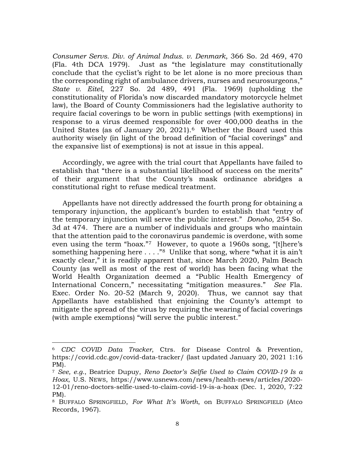*Consumer Servs. Div. of Animal Indus. v. Denmark*, 366 So. 2d 469, 470 (Fla. 4th DCA 1979). Just as "the legislature may constitutionally conclude that the cyclist's right to be let alone is no more precious than the corresponding right of ambulance drivers, nurses and neurosurgeons," *State v. Eitel*, 227 So. 2d 489, 491 (Fla. 1969) (upholding the constitutionality of Florida's now discarded mandatory motorcycle helmet law), the Board of County Commissioners had the legislative authority to require facial coverings to be worn in public settings (with exemptions) in response to a virus deemed responsible for over 400,000 deaths in the United States (as of January 20, 2021).<sup>6</sup> Whether the Board used this authority wisely (in light of the broad definition of "facial coverings" and the expansive list of exemptions) is not at issue in this appeal.

Accordingly, we agree with the trial court that Appellants have failed to establish that "there is a substantial likelihood of success on the merits" of their argument that the County's mask ordinance abridges a constitutional right to refuse medical treatment.

Appellants have not directly addressed the fourth prong for obtaining a temporary injunction, the applicant's burden to establish that "entry of the temporary injunction will serve the public interest." *Donoho*, 254 So. 3d at 474. There are a number of individuals and groups who maintain that the attention paid to the coronavirus pandemic is overdone, with some even using the term "hoax."[7](#page-10-1) However, to quote a 1960s song, "[t]here's something happening here  $\dots$ ."<sup>[8](#page-10-2)</sup> Unlike that song, where "what it is ain't exactly clear," it is readily apparent that, since March 2020, Palm Beach County (as well as most of the rest of world) has been facing what the World Health Organization deemed a "Public Health Emergency of International Concern," necessitating "mitigation measures." *See* Fla. Exec. Order No. 20-52 (March 9, 2020). Thus, we cannot say that Appellants have established that enjoining the County's attempt to mitigate the spread of the virus by requiring the wearing of facial coverings (with ample exemptions) "will serve the public interest."

<span id="page-10-0"></span><sup>6</sup> *CDC COVID Data Tracker*, Ctrs. for Disease Control & Prevention, https://covid.cdc.gov/covid-data-tracker/ (last updated January 20, 2021 1:16 PM).

<span id="page-10-1"></span><sup>7</sup> *See, e.g.*, Beatrice Dupuy, *Reno Doctor's Selfie Used to Claim COVID-19 Is a Hoax*, U.S. NEWS, https://www.usnews.com/news/health-news/articles/2020- 12-01/reno-doctors-selfie-used-to-claim-covid-19-is-a-hoax (Dec. 1, 2020, 7:22 PM). 8 BUFFALO SPRINGFIELD, *For What It's Worth*, on BUFFALO SPRINGFIELD (Atco

<span id="page-10-2"></span>Records, 1967).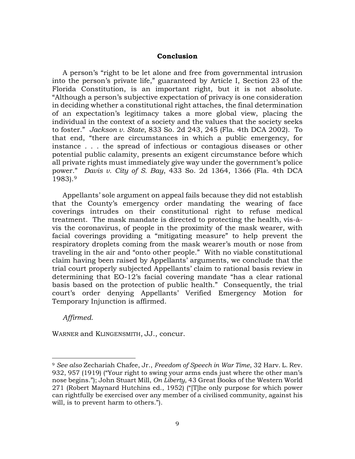#### **Conclusion**

A person's "right to be let alone and free from governmental intrusion into the person's private life," guaranteed by Article I, Section 23 of the Florida Constitution, is an important right, but it is not absolute. "Although a person's subjective expectation of privacy is one consideration in deciding whether a constitutional right attaches, the final determination of an expectation's legitimacy takes a more global view, placing the individual in the context of a society and the values that the society seeks to foster." *Jackson v. State*, 833 So. 2d 243, 245 (Fla. 4th DCA 2002). To that end, "there are circumstances in which a public emergency, for instance . . . the spread of infectious or contagious diseases or other potential public calamity, presents an exigent circumstance before which all private rights must immediately give way under the government's police power." *Davis v. City of S. Bay*, 433 So. 2d 1364, 1366 (Fla. 4th DCA 1983).[9](#page-11-0)

Appellants' sole argument on appeal fails because they did not establish that the County's emergency order mandating the wearing of face coverings intrudes on their constitutional right to refuse medical treatment. The mask mandate is directed to protecting the health, vis-àvis the coronavirus, of people in the proximity of the mask wearer, with facial coverings providing a "mitigating measure" to help prevent the respiratory droplets coming from the mask wearer's mouth or nose from traveling in the air and "onto other people." With no viable constitutional claim having been raised by Appellants' arguments, we conclude that the trial court properly subjected Appellants' claim to rational basis review in determining that EO-12's facial covering mandate "has a clear rational basis based on the protection of public health." Consequently, the trial court's order denying Appellants' Verified Emergency Motion for Temporary Injunction is affirmed.

*Affirmed.* 

WARNER and KLINGENSMITH, JJ., concur.

<span id="page-11-0"></span><sup>9</sup> *See also* Zechariah Chafee, Jr., *Freedom of Speech in War Time*, 32 Harv. L. Rev. 932, 957 (1919) ("Your right to swing your arms ends just where the other man's nose begins."); John Stuart Mill, *On Liberty,* 43 Great Books of the Western World 271 (Robert Maynard Hutchins ed., 1952) ("[T]he only purpose for which power can rightfully be exercised over any member of a civilised community, against his will, is to prevent harm to others.").